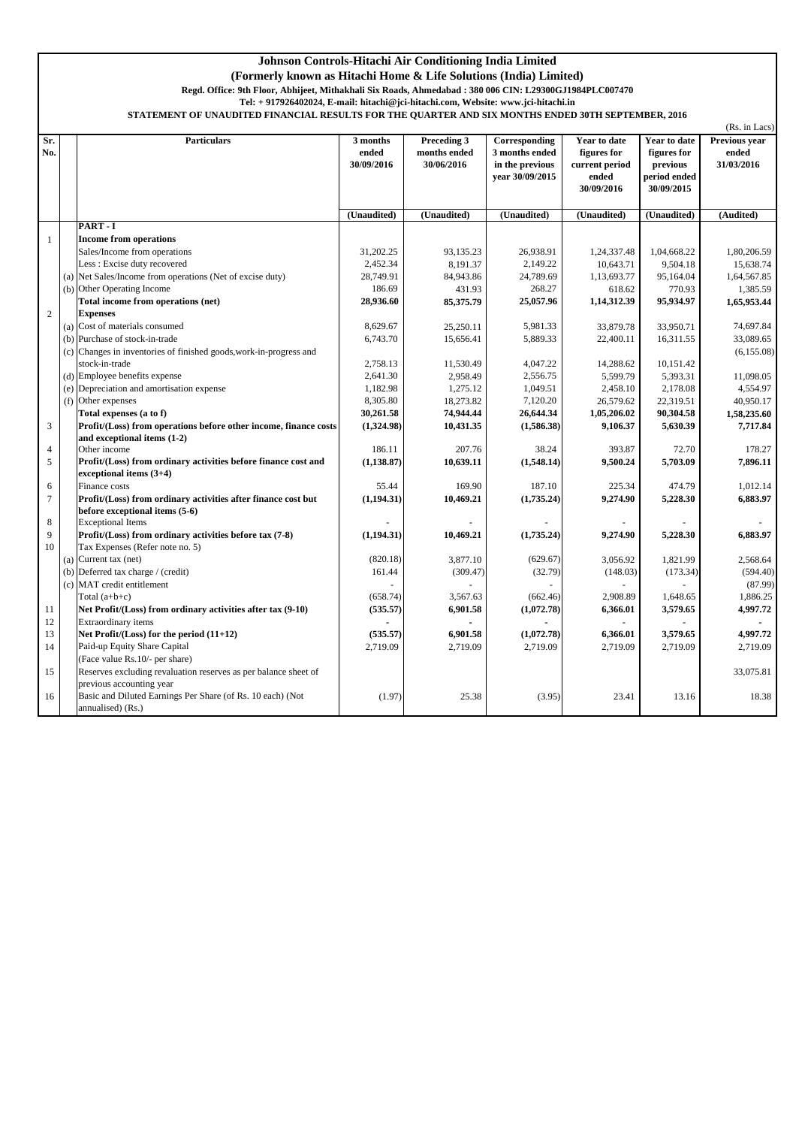## **Johnson Controls-Hitachi Air Conditioning India Limited**

**(Formerly known as Hitachi Home & Life Solutions (India) Limited)**

**Regd. Office: 9th Floor, Abhijeet, Mithakhali Six Roads, Ahmedabad : 380 006 CIN: L29300GJ1984PLC007470** 

**Tel: + 917926402024, E-mail: hitachi@jci-hitachi.com, Website: www.jci-hitachi.in**

**STATEMENT OF UNAUDITED FINANCIAL RESULTS FOR THE QUARTER AND SIX MONTHS ENDED 30TH SEPTEMBER, 2016**

| Preceding 3<br>Sr.<br><b>Particulars</b><br>3 months<br>Corresponding<br>months ended<br>No.<br>ended<br>3 months ended<br>30/09/2016<br>30/06/2016<br>in the previous | Year to date<br>figures for<br>current period<br>ended | Year to date<br>figures for            | Previous year<br>ended |
|------------------------------------------------------------------------------------------------------------------------------------------------------------------------|--------------------------------------------------------|----------------------------------------|------------------------|
| year 30/09/2015                                                                                                                                                        | 30/09/2016                                             | previous<br>period ended<br>30/09/2015 | 31/03/2016             |
| (Unaudited)<br>(Unaudited)<br>(Unaudited)                                                                                                                              | (Unaudited)                                            | (Unaudited)                            | (Audited)              |
| PART-I                                                                                                                                                                 |                                                        |                                        |                        |
| <b>Income from operations</b><br>$\mathbf{1}$                                                                                                                          |                                                        |                                        |                        |
| Sales/Income from operations<br>31,202.25<br>26,938.91<br>93,135.23                                                                                                    | 1,24,337.48                                            | 1,04,668.22                            | 1,80,206.59            |
| Less: Excise duty recovered<br>2,452.34<br>8,191.37<br>2,149.22                                                                                                        | 10,643.71                                              | 9,504.18                               | 15,638.74              |
| (a) Net Sales/Income from operations (Net of excise duty)<br>28,749.91<br>84,943.86<br>24,789.69                                                                       | 1,13,693.77                                            | 95,164.04                              | 1,64,567.85            |
| (b) Other Operating Income<br>186.69<br>268.27<br>431.93                                                                                                               | 618.62                                                 | 770.93                                 | 1,385.59               |
| Total income from operations (net)<br>85,375.79<br>28,936.60<br>25,057.96                                                                                              | 1,14,312.39                                            | 95,934.97                              | 1,65,953.44            |
| 2<br><b>Expenses</b>                                                                                                                                                   |                                                        |                                        |                        |
| (a) Cost of materials consumed<br>8,629.67<br>25,250.11<br>5,981.33                                                                                                    | 33,879.78                                              | 33,950.71                              | 74,697.84              |
| (b) Purchase of stock-in-trade<br>6,743.70<br>5,889.33<br>15,656.41                                                                                                    | 22,400.11                                              | 16,311.55                              | 33,089.65              |
| (c) Changes in inventories of finished goods, work-in-progress and                                                                                                     |                                                        |                                        | (6, 155.08)            |
| stock-in-trade<br>2,758.13<br>4,047.22<br>11,530.49                                                                                                                    | 14,288.62                                              | 10,151.42                              |                        |
| (d) Employee benefits expense<br>2,641.30<br>2,958.49<br>2,556.75                                                                                                      | 5,599.79                                               | 5,393.31                               | 11,098.05              |
| (e) Depreciation and amortisation expense<br>1,182.98<br>1,275.12<br>1,049.51                                                                                          | 2,458.10                                               | 2,178.08                               | 4,554.97               |
| 8,305.80<br>(f) Other expenses<br>18,273.82<br>7,120.20                                                                                                                | 26,579.62                                              | 22,319.51                              | 40,950.17              |
| Total expenses (a to f)<br>30,261.58<br>74,944.44<br>26,644.34                                                                                                         | 1,05,206.02                                            | 90,304.58                              | 1,58,235.60            |
| 3<br>Profit/(Loss) from operations before other income, finance costs<br>(1,324.98)<br>10,431.35<br>(1,586.38)                                                         | 9,106.37                                               | 5,630.39                               | 7,717.84               |
| and exceptional items (1-2)<br>Other income<br>186.11<br>38.24<br>$\overline{4}$<br>207.76                                                                             | 393.87                                                 | 72.70                                  | 178.27                 |
| 5<br>Profit/(Loss) from ordinary activities before finance cost and<br>(1, 138.87)<br>10,639.11<br>(1,548.14)                                                          | 9,500.24                                               | 5,703.09                               | 7,896.11               |
| exceptional items (3+4)                                                                                                                                                |                                                        |                                        |                        |
| 187.10<br>6<br>Finance costs<br>55.44<br>169.90                                                                                                                        | 225.34                                                 | 474.79                                 | 1,012.14               |
| $\tau$<br>Profit/(Loss) from ordinary activities after finance cost but<br>(1,194.31)<br>10,469.21<br>(1,735.24)                                                       | 9,274.90                                               | 5,228.30                               | 6,883.97               |
| before exceptional items (5-6)                                                                                                                                         |                                                        |                                        |                        |
| $\,$ 8 $\,$<br><b>Exceptional Items</b>                                                                                                                                |                                                        |                                        |                        |
| 9<br>Profit/(Loss) from ordinary activities before tax (7-8)<br>(1,194.31)<br>10,469.21<br>(1,735.24)                                                                  | 9,274.90                                               | 5,228.30                               | 6,883.97               |
| 10<br>Tax Expenses (Refer note no. 5)                                                                                                                                  |                                                        |                                        |                        |
| (a) Current tax (net)<br>(820.18)<br>3,877.10<br>(629.67)                                                                                                              | 3,056.92                                               | 1,821.99                               | 2,568.64               |
| (b) Deferred tax charge $/$ (credit)<br>(309.47)<br>(32.79)<br>161.44                                                                                                  | (148.03)                                               | (173.34)                               | (594.40)               |
| (c) MAT credit entitlement                                                                                                                                             |                                                        |                                        | (87.99)                |
| Total $(a+b+c)$<br>(658.74)<br>3,567.63<br>(662.46)                                                                                                                    | 2,908.89                                               | 1,648.65                               | 1,886.25               |
| 11<br>Net Profit/(Loss) from ordinary activities after tax (9-10)<br>(535.57)<br>6,901.58<br>(1,072.78)                                                                | 6,366.01                                               | 3,579.65                               | 4,997.72               |
| 12<br>Extraordinary items<br>$\blacksquare$                                                                                                                            | ÷                                                      |                                        | $\blacksquare$         |
| 13<br>(535.57)<br>6,901.58<br>Net Profit/ $(Loss)$ for the period $(11+12)$<br>(1,072.78)                                                                              | 6,366.01                                               | 3,579.65                               | 4,997.72               |
| Paid-up Equity Share Capital<br>14<br>2,719.09<br>2,719.09<br>2,719.09                                                                                                 | 2,719.09                                               | 2,719.09                               | 2,719.09               |
| (Face value Rs.10/- per share)                                                                                                                                         |                                                        |                                        |                        |
| 15<br>Reserves excluding revaluation reserves as per balance sheet of                                                                                                  |                                                        |                                        | 33,075.81              |
| previous accounting year                                                                                                                                               |                                                        |                                        |                        |
| Basic and Diluted Earnings Per Share (of Rs. 10 each) (Not<br>(1.97)<br>25.38<br>(3.95)<br>16                                                                          | 23.41                                                  | 13.16                                  | 18.38                  |
| annualised) (Rs.)                                                                                                                                                      |                                                        |                                        |                        |